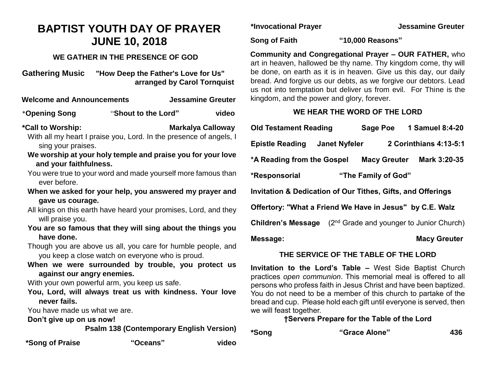# **BAPTIST YOUTH DAY OF PRAYER JUNE 10, 2018**

## **WE GATHER IN THE PRESENCE OF GOD**

**Gathering Music "How Deep the Father's Love for Us" arranged by Carol Tornquist**

**Welcome and Announcements Jessamine Greuter**

\***Opening Song** "**Shout to the Lord" video**

**\*Call to Worship: Markalya Calloway**

With all my heart I praise you, Lord. In the presence of angels, I sing your praises.

- **We worship at your holy temple and praise you for your love and your faithfulness.**
- You were true to your word and made yourself more famous than ever before.
- **When we asked for your help, you answered my prayer and gave us courage.**
- All kings on this earth have heard your promises, Lord, and they will praise you.
- **You are so famous that they will sing about the things you have done.**
- Though you are above us all, you care for humble people, and you keep a close watch on everyone who is proud.
- **When we were surrounded by trouble, you protect us against our angry enemies.**

With your own powerful arm, you keep us safe.

**You, Lord, will always treat us with kindness. Your love never fails.**

You have made us what we are.

**Don't give up on us now!**

 **Psalm 138 (Contemporary English Version)**

**\*Song of Praise "Oceans" video**

**\*Invocational Prayer Jessamine Greuter** 

**Song of Faith "10,000 Reasons"**

**Community and Congregational Prayer – OUR FATHER,** who art in heaven, hallowed be thy name. Thy kingdom come, thy will be done, on earth as it is in heaven. Give us this day, our daily bread. And forgive us our debts, as we forgive our debtors. Lead us not into temptation but deliver us from evil. For Thine is the kingdom, and the power and glory, forever.

## **WE HEAR THE WORD OF THE LORD**

**Old Testament Reading Sage Poe 1 Samuel 8:4-20 Epistle Reading Janet Nyfeler 2 Corinthians 4:13-5:1 \*A Reading from the Gospel Macy Greuter Mark 3:20-35 \*Responsorial "The Family of God" Invitation & Dedication of Our Tithes, Gifts, and Offerings Offertory: "What a Friend We Have in Jesus" by C.E. Walz Children's Message** (2<sup>nd</sup> Grade and younger to Junior Church) Message: Macy Greuter **Macy Greuter Macy Greuter** 

### **THE SERVICE OF THE TABLE OF THE LORD**

**Invitation to the Lord's Table –** West Side Baptist Church practices *open communion*. This memorial meal is offered to all persons who profess faith in Jesus Christ and have been baptized. You do not need to be a member of this church to partake of the bread and cup. Please hold each gift until everyone is served, then we will feast together.

# **†Servers Prepare for the Table of the Lord**

**\*Song "Grace Alone" 436**